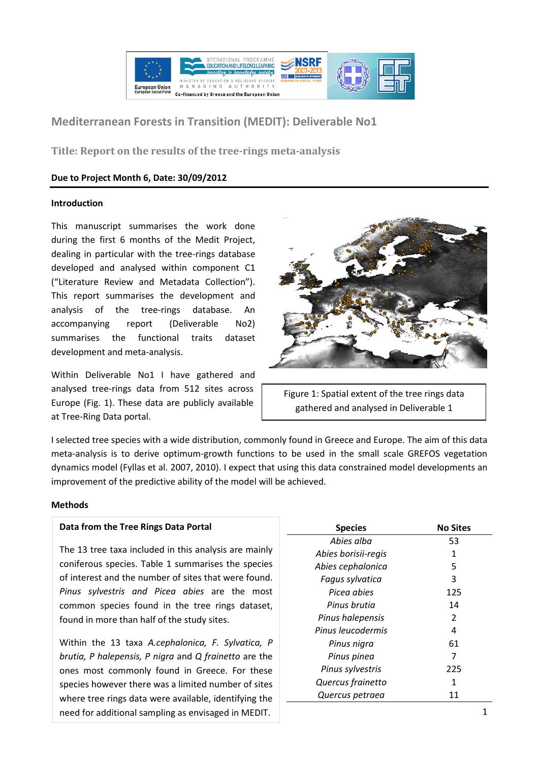

# **Mediterranean Forests in Transition (MEDIT): Deliverable No1**

**Title: Report on the results of the tree-rings meta-analysis**

# **Due to Project Month 6, Date: 30/09/2012**

## **Introduction**

This manuscript summarises the work done during the first 6 months of the Medit Project, dealing in particular with the tree-rings database developed and analysed within component C1 ("Literature Review and Metadata Collection"). This report summarises the development and analysis of the tree-rings database. An accompanying report (Deliverable No2) summarises the functional traits dataset development and meta-analysis.

Within Deliverable No1 I have gathered and analysed tree-rings data from 512 sites across Europe (Fig. 1). These data are publicly available at Tree-Ring Data portal.



Figure 1: Spatial extent of the tree rings data gathered and analysed in Deliverable 1

I selected tree species with a wide distribution, commonly found in Greece and Europe. The aim of this data meta-analysis is to derive optimum-growth functions to be used in the small scale GREFOS vegetation dynamics model (Fyllas et al. 2007, 2010). I expect that using this data constrained model developments an improvement of the predictive ability of the model will be achieved.

## **Methods**

## **Data from the Tree Rings Data Portal**

The 13 tree taxa included in this analysis are mainly coniferous species. Table 1 summarises the species of interest and the number of sites that were found. *Pinus sylvestris and Picea abies* are the most common species found in the tree rings dataset, found in more than half of the study sites.

Within the 13 taxa *A.cephalonica, F. Sylvatica, P brutia, P halepensis, P nigra* and *Q frainetto* are the ones most commonly found in Greece. For these species however there was a limited number of sites where tree rings data were available, identifying the need for additional sampling as envisaged in MEDIT. The same state of the same state of the same state of the s

| <b>Species</b>      | <b>No Sites</b> |
|---------------------|-----------------|
| Abies alba          | 53              |
| Abies borisii-regis | 1               |
| Abies cephalonica   | 5               |
| Fagus sylvatica     | 3               |
| Picea abies         | 125             |
| Pinus brutia        | 14              |
| Pinus halepensis    | 2               |
| Pinus leucodermis   | 4               |
| Pinus nigra         | 61              |
| Pinus pinea         | 7               |
| Pinus sylvestris    | 225             |
| Quercus frainetto   | 1               |
| Quercus petraea     | 11              |
|                     |                 |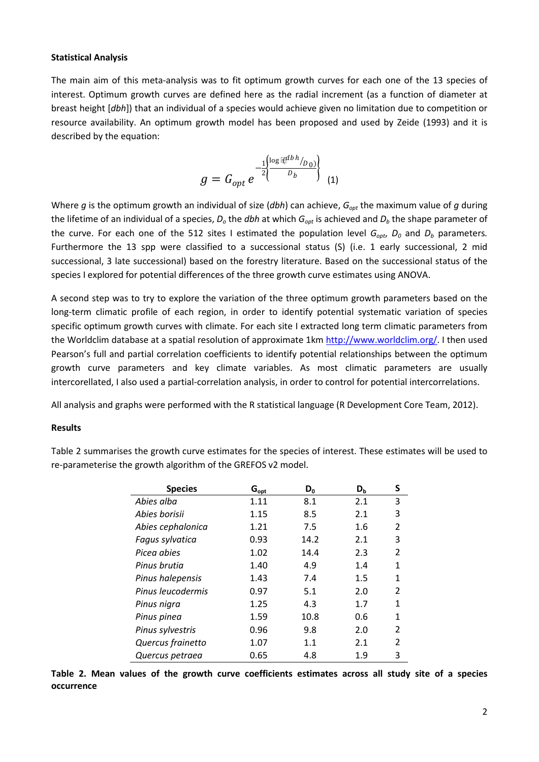#### **Statistical Analysis**

The main aim of this meta-analysis was to fit optimum growth curves for each one of the 13 species of interest. Optimum growth curves are defined here as the radial increment (as a function of diameter at breast height [*dbh*]) that an individual of a species would achieve given no limitation due to competition or resource availability. An optimum growth model has been proposed and used by Zeide (1993) and it is described by the equation:

$$
g = G_{opt} e^{-\frac{1}{2} \left\{\frac{\log \mathbb{R}^{db h}_{p_{0}}}{D_b}\right\}} \quad (1)
$$

Where *g* is the optimum growth an individual of size (*dbh*) can achieve, G<sub>opt</sub> the maximum value of *g* during the lifetime of an individual of a species, *Do* the *dbh* at which *Gopt* is achieved and *Db* the shape parameter of the curve. For each one of the 512 sites I estimated the population level  $G_{\text{oot}}$ ,  $D_0$  and  $D_b$  parameters. Furthermore the 13 spp were classified to a successional status (S) (i.e. 1 early successional, 2 mid successional, 3 late successional) based on the forestry literature. Based on the successional status of the species I explored for potential differences of the three growth curve estimates using ANOVA.

A second step was to try to explore the variation of the three optimum growth parameters based on the long-term climatic profile of each region, in order to identify potential systematic variation of species specific optimum growth curves with climate. For each site I extracted long term climatic parameters from the Worldclim database at a spatial resolution of approximate 1km [http://www.worldclim.org/.](http://www.worldclim.org/) I then used Pearson's full and partial correlation coefficients to identify potential relationships between the optimum growth curve parameters and key climate variables. As most climatic parameters are usually intercorellated, I also used a partial-correlation analysis, in order to control for potential intercorrelations.

All analysis and graphs were performed with the R statistical language (R Development Core Team, 2012).

#### **Results**

| <b>Species</b>    | $G_{\text{opt}}$ | $D_0$ | $D_{b}$ | S              |
|-------------------|------------------|-------|---------|----------------|
| Abies alba        | 1.11             | 8.1   | 2.1     | 3              |
| Abies borisii     | 1.15             | 8.5   | 2.1     | 3              |
| Abies cephalonica | 1.21             | 7.5   | 1.6     | $\mathfrak{p}$ |
| Fagus sylvatica   | 0.93             | 14.2  | 2.1     | 3              |
| Picea abies       | 1.02             | 14.4  | 2.3     | $\overline{2}$ |
| Pinus brutia      | 1.40             | 4.9   | 1.4     | 1              |
| Pinus halepensis  | 1.43             | 7.4   | 1.5     | 1              |
| Pinus leucodermis | 0.97             | 5.1   | 2.0     | $\mathfrak{p}$ |
| Pinus nigra       | 1.25             | 4.3   | 1.7     | 1              |
| Pinus pinea       | 1.59             | 10.8  | 0.6     | 1              |
| Pinus sylvestris  | 0.96             | 9.8   | 2.0     | $\mathfrak{p}$ |
| Quercus frainetto | 1.07             | 1.1   | 2.1     | $\mathfrak{p}$ |
| Quercus petraea   | 0.65             | 4.8   | 1.9     | 3              |

Table 2 summarises the growth curve estimates for the species of interest. These estimates will be used to re-parameterise the growth algorithm of the GREFOS v2 model.

**Table 2. Mean values of the growth curve coefficients estimates across all study site of a species occurrence**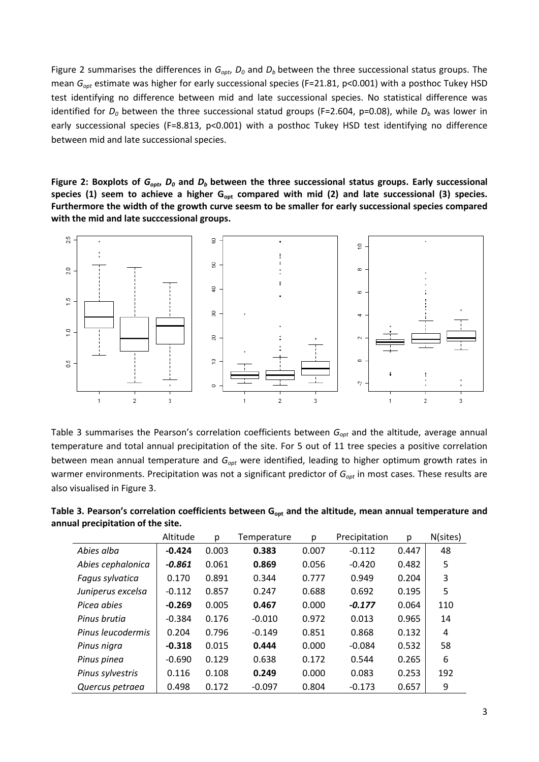Figure 2 summarises the differences in  $G_{opt}$ ,  $D_0$  and  $D_b$  between the three successional status groups. The mean *Gopt* estimate was higher for early successional species (F=21.81, p<0.001) with a posthoc Tukey HSD test identifying no difference between mid and late successional species. No statistical difference was identified for *D*<sub>0</sub> between the three successional statud groups (F=2.604, p=0.08), while *D*<sub>b</sub> was lower in early successional species (F=8.813, p<0.001) with a posthoc Tukey HSD test identifying no difference between mid and late successional species.

Figure 2: Boxplots of  $G_{opt}$ ,  $D_0$  and  $D_b$  between the three successional status groups. Early successional species (1) seem to achieve a higher G<sub>opt</sub> compared with mid (2) and late successional (3) species. **Furthermore the width of the growth curve seesm to be smaller for early successional species compared with the mid and late succcessional groups.**



Table 3 summarises the Pearson's correlation coefficients between G<sub>opt</sub> and the altitude, average annual temperature and total annual precipitation of the site. For 5 out of 11 tree species a positive correlation between mean annual temperature and G<sub>opt</sub> were identified, leading to higher optimum growth rates in warmer environments. Precipitation was not a significant predictor of G<sub>opt</sub> in most cases. These results are also visualised in Figure 3.

|                   | Altitude | p     | Temperature | p     | Precipitation | p     | N(sites) |
|-------------------|----------|-------|-------------|-------|---------------|-------|----------|
| Abies alba        | $-0.424$ | 0.003 | 0.383       | 0.007 | $-0.112$      | 0.447 | 48       |
| Abies cephalonica | -0.861   | 0.061 | 0.869       | 0.056 | $-0.420$      | 0.482 | 5        |
| Fagus sylvatica   | 0.170    | 0.891 | 0.344       | 0.777 | 0.949         | 0.204 | 3        |
| Juniperus excelsa | $-0.112$ | 0.857 | 0.247       | 0.688 | 0.692         | 0.195 | 5        |
| Picea abies       | $-0.269$ | 0.005 | 0.467       | 0.000 | $-0.177$      | 0.064 | 110      |
| Pinus brutia      | $-0.384$ | 0.176 | $-0.010$    | 0.972 | 0.013         | 0.965 | 14       |
| Pinus leucodermis | 0.204    | 0.796 | $-0.149$    | 0.851 | 0.868         | 0.132 | 4        |
| Pinus nigra       | $-0.318$ | 0.015 | 0.444       | 0.000 | $-0.084$      | 0.532 | 58       |
| Pinus pinea       | $-0.690$ | 0.129 | 0.638       | 0.172 | 0.544         | 0.265 | 6        |
| Pinus sylvestris  | 0.116    | 0.108 | 0.249       | 0.000 | 0.083         | 0.253 | 192      |
| Quercus petraea   | 0.498    | 0.172 | $-0.097$    | 0.804 | $-0.173$      | 0.657 | 9        |

Table 3. Pearson's correlation coefficients between G<sub>opt</sub> and the altitude, mean annual temperature and **annual precipitation of the site.**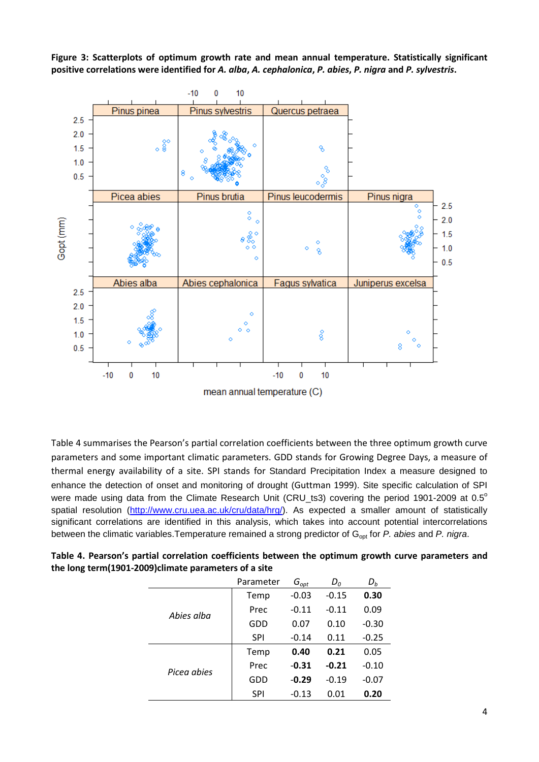**Figure 3: Scatterplots of optimum growth rate and mean annual temperature. Statistically significant positive correlations were identified for** *A. alba***,** *A. cephalonica***,** *P. abies***,** *P. nigra* **and** *P. sylvestris***.**



Table 4 summarises the Pearson's partial correlation coefficients between the three optimum growth curve parameters and some important climatic parameters. GDD stands for Growing Degree Days, a measure of thermal energy availability of a site. SPI stands for Standard Precipitation Index a measure designed to enhance the detection of onset and monitoring of drought (Guttman 1999). Site specific calculation of SPI were made using data from the Climate Research Unit (CRU\_ts3) covering the period 1901-2009 at 0.5° spatial resolution [\(http://www.cru.uea.ac.uk/cru/data/hrg/\)](http://www.cru.uea.ac.uk/cru/data/hrg/). As expected a smaller amount of statistically significant correlations are identified in this analysis, which takes into account potential intercorrelations between the climatic variables. Temperature remained a strong predictor of G<sub>opt</sub> for *P. abies* and *P. nigra*.

|             | Parameter  | $G_{opt}$ | $D_0$   | $D_b$   |
|-------------|------------|-----------|---------|---------|
| Abies alba  | Temp       | $-0.03$   | $-0.15$ | 0.30    |
|             | Prec       | $-0.11$   | $-0.11$ | 0.09    |
|             | GDD        | 0.07      | 0.10    | $-0.30$ |
|             | <b>SPI</b> | $-0.14$   | 0.11    | $-0.25$ |
| Picea abies | Temp       | 0.40      | 0.21    | 0.05    |
|             | Prec       | $-0.31$   | $-0.21$ | $-0.10$ |
|             | GDD        | $-0.29$   | $-0.19$ | $-0.07$ |
|             | <b>SPI</b> | $-0.13$   | 0.01    | 0.20    |

**Table 4. Pearson's partial correlation coefficients between the optimum growth curve parameters and the long term(1901-2009)climate parameters of a site**